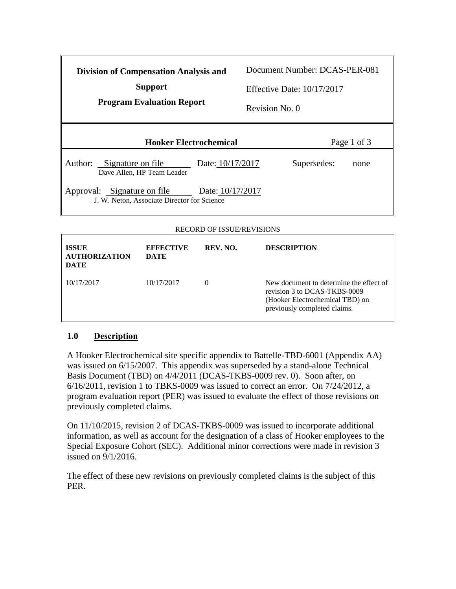| <b>Division of Compensation Analysis and</b><br><b>Support</b><br><b>Program Evaluation Report</b> | Document Number: DCAS-PER-081<br>Effective Date: $10/17/2017$<br>Revision No. 0 |
|----------------------------------------------------------------------------------------------------|---------------------------------------------------------------------------------|
| <b>Hooker Electrochemical</b>                                                                      | Page 1 of 3                                                                     |
| Author: Signature on file<br>Date: 10/17/2017<br>Dave Allen, HP Team Leader                        | Supersedes:<br>none                                                             |
| Approval: Signature on file<br>Date: 10/17/2017<br>J. W. Neton, Associate Director for Science     |                                                                                 |
|                                                                                                    |                                                                                 |

## RECORD OF ISSUE/REVISIONS

| <b>ISSUE</b><br><b>AUTHORIZATION</b><br><b>DATE</b> | <b>EFFECTIVE</b><br>DATE | REV. NO. | <b>DESCRIPTION</b>                                                                                                                         |
|-----------------------------------------------------|--------------------------|----------|--------------------------------------------------------------------------------------------------------------------------------------------|
| 10/17/2017                                          | 10/17/2017               | $\theta$ | New document to determine the effect of<br>revision 3 to DCAS-TKBS-0009<br>(Hooker Electrochemical TBD) on<br>previously completed claims. |

## **1.0 Description**

A Hooker Electrochemical site specific appendix to Battelle-TBD-6001 (Appendix AA) was issued on 6/15/2007. This appendix was superseded by a stand-alone Technical Basis Document (TBD) on 4/4/2011 (DCAS-TKBS-0009 rev. 0). Soon after, on 6/16/2011, revision 1 to TBKS-0009 was issued to correct an error. On 7/24/2012, a program evaluation report (PER) was issued to evaluate the effect of those revisions on previously completed claims.

On 11/10/2015, revision 2 of DCAS-TKBS-0009 was issued to incorporate additional information, as well as account for the designation of a class of Hooker employees to the Special Exposure Cohort (SEC). Additional minor corrections were made in revision 3 issued on 9/1/2016.

The effect of these new revisions on previously completed claims is the subject of this PER.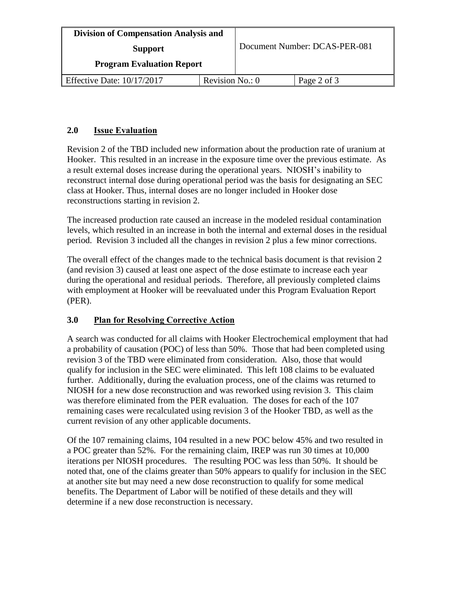| <b>Division of Compensation Analysis and</b> |                 | Document Number: DCAS-PER-081 |             |
|----------------------------------------------|-----------------|-------------------------------|-------------|
| <b>Support</b>                               |                 |                               |             |
| <b>Program Evaluation Report</b>             |                 |                               |             |
| Effective Date: $10/17/2017$                 | Revision No.: 0 |                               | Page 2 of 3 |

## **2.0 Issue Evaluation**

Revision 2 of the TBD included new information about the production rate of uranium at Hooker. This resulted in an increase in the exposure time over the previous estimate. As a result external doses increase during the operational years. NIOSH's inability to reconstruct internal dose during operational period was the basis for designating an SEC class at Hooker. Thus, internal doses are no longer included in Hooker dose reconstructions starting in revision 2.

The increased production rate caused an increase in the modeled residual contamination levels, which resulted in an increase in both the internal and external doses in the residual period. Revision 3 included all the changes in revision 2 plus a few minor corrections.

The overall effect of the changes made to the technical basis document is that revision 2 (and revision 3) caused at least one aspect of the dose estimate to increase each year during the operational and residual periods. Therefore, all previously completed claims with employment at Hooker will be reevaluated under this Program Evaluation Report (PER).

## **3.0 Plan for Resolving Corrective Action**

A search was conducted for all claims with Hooker Electrochemical employment that had a probability of causation (POC) of less than 50%. Those that had been completed using revision 3 of the TBD were eliminated from consideration. Also, those that would qualify for inclusion in the SEC were eliminated. This left 108 claims to be evaluated further. Additionally, during the evaluation process, one of the claims was returned to NIOSH for a new dose reconstruction and was reworked using revision 3. This claim was therefore eliminated from the PER evaluation. The doses for each of the 107 remaining cases were recalculated using revision 3 of the Hooker TBD, as well as the current revision of any other applicable documents.

Of the 107 remaining claims, 104 resulted in a new POC below 45% and two resulted in a POC greater than 52%. For the remaining claim, IREP was run 30 times at 10,000 iterations per NIOSH procedures. The resulting POC was less than 50%. It should be noted that, one of the claims greater than 50% appears to qualify for inclusion in the SEC at another site but may need a new dose reconstruction to qualify for some medical benefits. The Department of Labor will be notified of these details and they will determine if a new dose reconstruction is necessary.